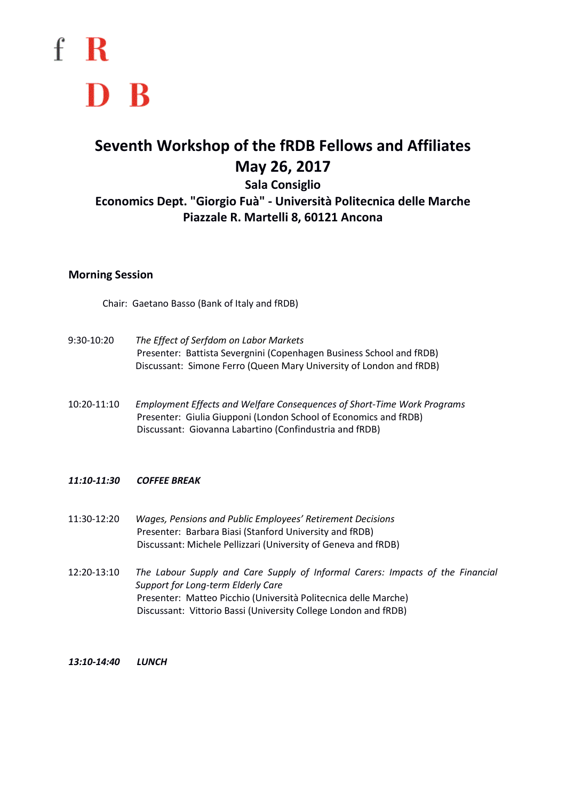f R D B

# **Seventh Workshop of the fRDB Fellows and Affiliates May 26, 2017**

# **Sala Consiglio Economics Dept. "Giorgio Fuà" - Università Politecnica delle Marche Piazzale R. Martelli 8, 60121 Ancona**

#### **Morning Session**

Chair: Gaetano Basso (Bank of Italy and fRDB)

- 9:30-10:20 *The Effect of Serfdom on Labor Markets* Presenter: Battista Severgnini (Copenhagen Business School and fRDB) Discussant: Simone Ferro (Queen Mary University of London and fRDB)
- 10:20-11:10 *Employment Effects and Welfare Consequences of Short-Time Work Programs* Presenter: Giulia Giupponi (London School of Economics and fRDB) Discussant: Giovanna Labartino (Confindustria and fRDB)

### *11:10-11:30 COFFEE BREAK*

- 11:30-12:20 *Wages, Pensions and Public Employees' Retirement Decisions* Presenter: Barbara Biasi (Stanford University and fRDB) Discussant: Michele Pellizzari (University of Geneva and fRDB)
- 12:20-13:10 *The Labour Supply and Care Supply of Informal Carers: Impacts of the Financial Support for Long-term Elderly Care* Presenter: Matteo Picchio (Università Politecnica delle Marche) Discussant: Vittorio Bassi (University College London and fRDB)
- *13:10-14:40 LUNCH*